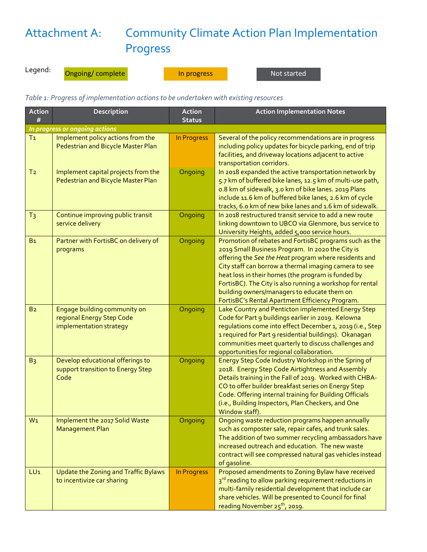## Attachment A: Community Climate Action Plan Implementation Progress

Legend:

Ongoing/ complete **In progress** In all and the Solomon Not started

*Table 1: Progress of implementation actions to be undertaken with existing resources*

| <b>Action</b><br>#             | Description                                                                          | <b>Action</b><br><b>Status</b> | <b>Action Implementation Notes</b>                                                                                                                                                                                                                                                                                                                                                                                                                |  |  |  |  |
|--------------------------------|--------------------------------------------------------------------------------------|--------------------------------|---------------------------------------------------------------------------------------------------------------------------------------------------------------------------------------------------------------------------------------------------------------------------------------------------------------------------------------------------------------------------------------------------------------------------------------------------|--|--|--|--|
| In progress or ongoing actions |                                                                                      |                                |                                                                                                                                                                                                                                                                                                                                                                                                                                                   |  |  |  |  |
| T <sub>1</sub>                 | Implement policy actions from the<br>Pedestrian and Bicycle Master Plan              | In Progress                    | Several of the policy recommendations are in progress<br>including policy updates for bicycle parking, end of trip<br>facilities, and driveway locations adjacent to active<br>transportation corridors.                                                                                                                                                                                                                                          |  |  |  |  |
| T <sub>2</sub>                 | Implement capital projects from the<br>Pedestrian and Bicycle Master Plan            | Ongoing                        | In 2018 expanded the active transportation network by<br>5.7 km of buffered bike lanes, 12.5 km of multi-use path,<br>o.8 km of sidewalk, 3.0 km of bike lanes. 2019 Plans<br>include 11.6 km of buffered bike lanes, 2.6 km of cycle<br>tracks, 6.0 km of new bike lanes and 1.6 km of sidewalk.                                                                                                                                                 |  |  |  |  |
| T <sub>3</sub>                 | Continue improving public transit<br>service delivery                                | Ongoing                        | In 2018 restructured transit service to add a new route<br>linking downtown to UBCO via Glenmore, bus service to<br>University Heights, added 5,000 service hours.                                                                                                                                                                                                                                                                                |  |  |  |  |
| B <sub>1</sub>                 | Partner with FortisBC on delivery of<br>programs                                     | Ongoing                        | Promotion of rebates and FortisBC programs such as the<br>2019 Small Business Program. In 2020 the City is<br>offering the See the Heat program where residents and<br>City staff can borrow a thermal imaging camera to see<br>heat loss in their homes (the program is funded by<br>FortisBC). The City is also running a workshop for rental<br>building owners/managers to educate them on<br>FortisBC's Rental Apartment Efficiency Program. |  |  |  |  |
| B <sub>2</sub>                 | Engage building community on<br>regional Energy Step Code<br>implementation strategy | Ongoing                        | Lake Country and Penticton implemented Energy Step<br>Code for Part 9 buildings earlier in 2019. Kelowna<br>regulations come into effect December 1, 2019 (i.e., Step<br>1 required for Part 9 residential buildings). Okanagan<br>communities meet quarterly to discuss challenges and<br>opportunities for regional collaboration.                                                                                                              |  |  |  |  |
| B <sub>3</sub>                 | Develop educational offerings to<br>support transition to Energy Step<br>Code        | Ongoing                        | Energy Step Code Industry Workshop in the Spring of<br>2018. Energy Step Code Airtightness and Assembly<br>Details training in the Fall of 2019. Worked with CHBA-<br>CO to offer builder breakfast series on Energy Step<br>Code. Offering internal training for Building Officials<br>(i.e., Building Inspectors, Plan Checkers, and One<br>Window staff).                                                                                      |  |  |  |  |
| W1                             | Implement the 2017 Solid Waste<br><b>Management Plan</b>                             | Ongoing                        | Ongoing waste reduction programs happen annually<br>such as composter sale, repair cafes, and trunk sales.<br>The addition of two summer recycling ambassadors have<br>increased outreach and education. The new waste<br>contract will see compressed natural gas vehicles instead<br>of gasoline.                                                                                                                                               |  |  |  |  |
| LU <sub>1</sub>                | Update the Zoning and Traffic Bylaws<br>to incentivize car sharing                   | In Progress                    | Proposed amendments to Zoning Bylaw have received<br>3rd reading to allow parking requirement reductions in<br>multi-family residential development that include car<br>share vehicles. Will be presented to Council for final<br>reading November 25 <sup>th</sup> , 2019.                                                                                                                                                                       |  |  |  |  |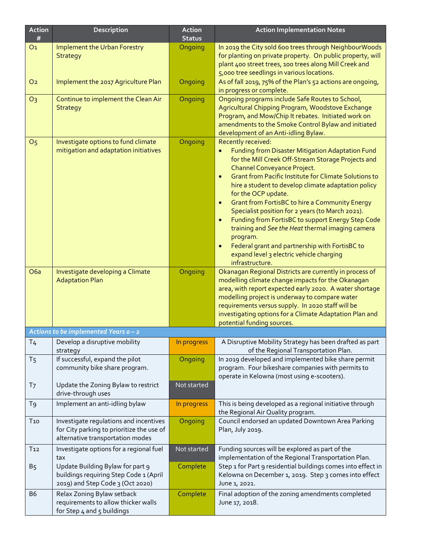| <b>Action</b><br># | Description                                                                                                             | <b>Action</b><br><b>Status</b> | <b>Action Implementation Notes</b>                                                                                                                                                                                                                                                                                                                                                                                                                                                                                                                                                                                                                                                                                            |  |  |  |
|--------------------|-------------------------------------------------------------------------------------------------------------------------|--------------------------------|-------------------------------------------------------------------------------------------------------------------------------------------------------------------------------------------------------------------------------------------------------------------------------------------------------------------------------------------------------------------------------------------------------------------------------------------------------------------------------------------------------------------------------------------------------------------------------------------------------------------------------------------------------------------------------------------------------------------------------|--|--|--|
| O <sub>1</sub>     | Implement the Urban Forestry<br><b>Strategy</b>                                                                         | Ongoing                        | In 2019 the City sold 600 trees through NeighbourWoods<br>for planting on private property. On public property, will<br>plant 400 street trees, 100 trees along Mill Creek and<br>5,000 tree seedlings in various locations.                                                                                                                                                                                                                                                                                                                                                                                                                                                                                                  |  |  |  |
| O <sub>2</sub>     | Implement the 2017 Agriculture Plan                                                                                     | Ongoing                        | As of fall 2019, 75% of the Plan's 52 actions are ongoing,<br>in progress or complete.                                                                                                                                                                                                                                                                                                                                                                                                                                                                                                                                                                                                                                        |  |  |  |
| O <sub>3</sub>     | Continue to implement the Clean Air<br><b>Strategy</b>                                                                  | Ongoing                        | Ongoing programs include Safe Routes to School,<br>Agricultural Chipping Program, Woodstove Exchange<br>Program, and Mow/Chip It rebates. Initiated work on<br>amendments to the Smoke Control Bylaw and initiated<br>development of an Anti-idling Bylaw.                                                                                                                                                                                                                                                                                                                                                                                                                                                                    |  |  |  |
| O <sub>5</sub>     | Investigate options to fund climate<br>mitigation and adaptation initiatives                                            | Ongoing                        | Recently received:<br>Funding from Disaster Mitigation Adaptation Fund<br>$\bullet$<br>for the Mill Creek Off-Stream Storage Projects and<br>Channel Conveyance Project.<br><b>Grant from Pacific Institute for Climate Solutions to</b><br>$\bullet$<br>hire a student to develop climate adaptation policy<br>for the OCP update.<br><b>Grant from FortisBC to hire a Community Energy</b><br>$\bullet$<br>Specialist position for 2 years (to March 2021).<br>Funding from FortisBC to support Energy Step Code<br>$\bullet$<br>training and See the Heat thermal imaging camera<br>program.<br>Federal grant and partnership with FortisBC to<br>$\bullet$<br>expand level 3 electric vehicle charging<br>infrastructure. |  |  |  |
| O <sub>6a</sub>    | Investigate developing a Climate<br><b>Adaptation Plan</b>                                                              | Ongoing                        | Okanagan Regional Districts are currently in process of<br>modelling climate change impacts for the Okanagan<br>area, with report expected early 2020. A water shortage<br>modelling project is underway to compare water<br>requirements versus supply. In 2020 staff will be<br>investigating options for a Climate Adaptation Plan and<br>potential funding sources.                                                                                                                                                                                                                                                                                                                                                       |  |  |  |
|                    | Actions to be implemented Years o - 2                                                                                   |                                |                                                                                                                                                                                                                                                                                                                                                                                                                                                                                                                                                                                                                                                                                                                               |  |  |  |
| T <sub>4</sub>     | Develop a disruptive mobility<br>strategy                                                                               | In progress                    | A Disruptive Mobility Strategy has been drafted as part<br>of the Regional Transportation Plan.                                                                                                                                                                                                                                                                                                                                                                                                                                                                                                                                                                                                                               |  |  |  |
| T <sub>5</sub>     | If successful, expand the pilot<br>community bike share program.                                                        | Ongoing                        | In 2019 developed and implemented bike share permit<br>program. Four bikeshare companies with permits to<br>operate in Kelowna (most using e-scooters).                                                                                                                                                                                                                                                                                                                                                                                                                                                                                                                                                                       |  |  |  |
| T <sub>7</sub>     | Update the Zoning Bylaw to restrict<br>drive-through uses                                                               | Not started                    |                                                                                                                                                                                                                                                                                                                                                                                                                                                                                                                                                                                                                                                                                                                               |  |  |  |
| T <sub>9</sub>     | Implement an anti-idling bylaw                                                                                          | In progress                    | This is being developed as a regional initiative through<br>the Regional Air Quality program.                                                                                                                                                                                                                                                                                                                                                                                                                                                                                                                                                                                                                                 |  |  |  |
| $T_{10}$           | Investigate regulations and incentives<br>for City parking to prioritize the use of<br>alternative transportation modes | Ongoing                        | Council endorsed an updated Downtown Area Parking<br>Plan, July 2019.                                                                                                                                                                                                                                                                                                                                                                                                                                                                                                                                                                                                                                                         |  |  |  |
| T <sub>12</sub>    | Investigate options for a regional fuel<br>tax                                                                          | Not started                    | Funding sources will be explored as part of the<br>implementation of the Regional Transportation Plan.                                                                                                                                                                                                                                                                                                                                                                                                                                                                                                                                                                                                                        |  |  |  |
| B <sub>5</sub>     | Update Building Bylaw for part 9<br>buildings requiring Step Code 1 (April<br>2019) and Step Code 3 (Oct 2020)          | Complete                       | Step 1 for Part 9 residential buildings comes into effect in<br>Kelowna on December 1, 2019. Step 3 comes into effect<br>June 1, 2021.                                                                                                                                                                                                                                                                                                                                                                                                                                                                                                                                                                                        |  |  |  |
| B <sub>6</sub>     | Relax Zoning Bylaw setback<br>requirements to allow thicker walls<br>for Step 4 and 5 buildings                         | Complete                       | Final adoption of the zoning amendments completed<br>June 17, 2018.                                                                                                                                                                                                                                                                                                                                                                                                                                                                                                                                                                                                                                                           |  |  |  |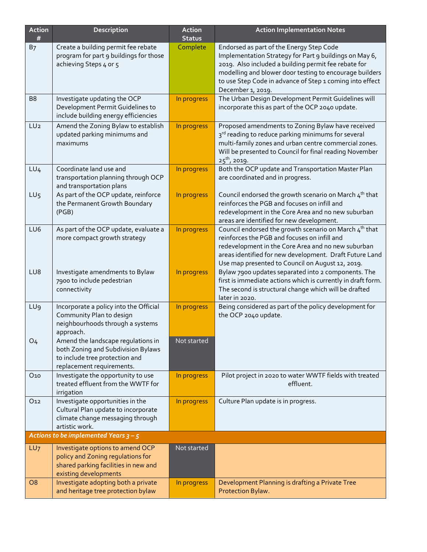| Action<br>#     | Description                                                                                                                             | Action<br><b>Status</b> | <b>Action Implementation Notes</b>                                                                                                                                                                                                                                                                     |  |  |  |
|-----------------|-----------------------------------------------------------------------------------------------------------------------------------------|-------------------------|--------------------------------------------------------------------------------------------------------------------------------------------------------------------------------------------------------------------------------------------------------------------------------------------------------|--|--|--|
| B <sub>7</sub>  | Create a building permit fee rebate<br>program for part 9 buildings for those<br>achieving Steps 4 or 5                                 | Complete                | Endorsed as part of the Energy Step Code<br>Implementation Strategy for Part 9 buildings on May 6,<br>2019. Also included a building permit fee rebate for<br>modelling and blower door testing to encourage builders<br>to use Step Code in advance of Step 1 coming into effect<br>December 1, 2019. |  |  |  |
| B <sub>8</sub>  | Investigate updating the OCP<br>Development Permit Guidelines to<br>include building energy efficiencies                                | In progress             | The Urban Design Development Permit Guidelines will<br>incorporate this as part of the OCP 2040 update.                                                                                                                                                                                                |  |  |  |
| LU <sub>2</sub> | Amend the Zoning Bylaw to establish<br>updated parking minimums and<br>maximums                                                         | In progress             | Proposed amendments to Zoning Bylaw have received<br>3 <sup>rd</sup> reading to reduce parking minimums for several<br>multi-family zones and urban centre commercial zones.<br>Will be presented to Council for final reading November<br>$25^{th}$ , 2019.                                           |  |  |  |
| LU <sub>4</sub> | Coordinate land use and<br>transportation planning through OCP<br>and transportation plans                                              | In progress             | Both the OCP update and Transportation Master Plan<br>are coordinated and in progress.                                                                                                                                                                                                                 |  |  |  |
| LU <sub>5</sub> | As part of the OCP update, reinforce<br>the Permanent Growth Boundary<br>(PGB)                                                          | In progress             | Council endorsed the growth scenario on March $4^{th}$ that<br>reinforces the PGB and focuses on infill and<br>redevelopment in the Core Area and no new suburban<br>areas are identified for new development.                                                                                         |  |  |  |
| LU6             | As part of the OCP update, evaluate a<br>more compact growth strategy                                                                   | In progress             | Council endorsed the growth scenario on March $4^{th}$ that<br>reinforces the PGB and focuses on infill and<br>redevelopment in the Core Area and no new suburban<br>areas identified for new development. Draft Future Land<br>Use map presented to Council on August 12, 2019.                       |  |  |  |
| LU8             | Investigate amendments to Bylaw<br>7900 to include pedestrian<br>connectivity                                                           | In progress             | Bylaw 7900 updates separated into 2 components. The<br>first is immediate actions which is currently in draft form.<br>The second is structural change which will be drafted<br>later in 2020.                                                                                                         |  |  |  |
| LU <sub>9</sub> | Incorporate a policy into the Official<br>Community Plan to design<br>neighbourhoods through a systems<br>approach.                     | In progress             | Being considered as part of the policy development for<br>the OCP 2040 update.                                                                                                                                                                                                                         |  |  |  |
| O <sub>4</sub>  | Amend the landscape regulations in<br>both Zoning and Subdivision Bylaws<br>to include tree protection and<br>replacement requirements. | Not started             |                                                                                                                                                                                                                                                                                                        |  |  |  |
| O <sub>10</sub> | Investigate the opportunity to use<br>treated effluent from the WWTF for<br>irrigation                                                  | In progress             | Pilot project in 2020 to water WWTF fields with treated<br>effluent.                                                                                                                                                                                                                                   |  |  |  |
| O <sub>12</sub> | Investigate opportunities in the<br>Cultural Plan update to incorporate<br>climate change messaging through<br>artistic work.           | In progress             | Culture Plan update is in progress.                                                                                                                                                                                                                                                                    |  |  |  |
|                 | Actions to be implemented Years $3 - 5$                                                                                                 |                         |                                                                                                                                                                                                                                                                                                        |  |  |  |
| LU7             | Investigate options to amend OCP<br>policy and Zoning regulations for<br>shared parking facilities in new and<br>existing developments  | Not started             |                                                                                                                                                                                                                                                                                                        |  |  |  |
| O <sub>8</sub>  | Investigate adopting both a private<br>and heritage tree protection bylaw                                                               | In progress             | Development Planning is drafting a Private Tree<br>Protection Bylaw.                                                                                                                                                                                                                                   |  |  |  |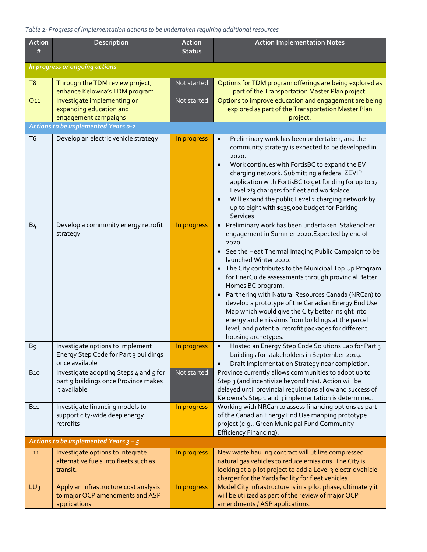## *Table 2: Progress of implementation actions to be undertaken requiring additional resources*

| Action<br>#                    | Description                                                                                    | Action<br><b>Status</b> | <b>Action Implementation Notes</b>                                                                                                                                                                                                                                                                                                                                                                                                                                                                                                                                                                                                                     |  |  |  |  |
|--------------------------------|------------------------------------------------------------------------------------------------|-------------------------|--------------------------------------------------------------------------------------------------------------------------------------------------------------------------------------------------------------------------------------------------------------------------------------------------------------------------------------------------------------------------------------------------------------------------------------------------------------------------------------------------------------------------------------------------------------------------------------------------------------------------------------------------------|--|--|--|--|
| In progress or ongoing actions |                                                                                                |                         |                                                                                                                                                                                                                                                                                                                                                                                                                                                                                                                                                                                                                                                        |  |  |  |  |
| T <sub>8</sub>                 | Through the TDM review project,<br>enhance Kelowna's TDM program                               | Not started             | Options for TDM program offerings are being explored as<br>part of the Transportation Master Plan project.                                                                                                                                                                                                                                                                                                                                                                                                                                                                                                                                             |  |  |  |  |
| O <sub>11</sub>                | Investigate implementing or<br>expanding education and<br>engagement campaigns                 | Not started             | Options to improve education and engagement are being<br>explored as part of the Transportation Master Plan<br>project.                                                                                                                                                                                                                                                                                                                                                                                                                                                                                                                                |  |  |  |  |
|                                | <b>Actions to be implemented Years o-2</b>                                                     |                         |                                                                                                                                                                                                                                                                                                                                                                                                                                                                                                                                                                                                                                                        |  |  |  |  |
| T <sub>6</sub>                 | Develop an electric vehicle strategy                                                           | In progress             | Preliminary work has been undertaken, and the<br>$\bullet$<br>community strategy is expected to be developed in<br>2020.<br>Work continues with FortisBC to expand the EV<br>$\bullet$<br>charging network. Submitting a federal ZEVIP<br>application with FortisBC to get funding for up to 17<br>Level 2/3 chargers for fleet and workplace.<br>Will expand the public Level 2 charging network by<br>$\bullet$<br>up to eight with \$135,000 budget for Parking<br>Services                                                                                                                                                                         |  |  |  |  |
| B <sub>4</sub>                 | Develop a community energy retrofit<br>strategy                                                | In progress             | · Preliminary work has been undertaken. Stakeholder<br>engagement in Summer 2020.Expected by end of<br>2020.<br>• See the Heat Thermal Imaging Public Campaign to be<br>launched Winter 2020.<br>• The City contributes to the Municipal Top Up Program<br>for EnerGuide assessments through provincial Better<br>Homes BC program.<br>Partnering with Natural Resources Canada (NRCan) to<br>$\bullet$<br>develop a prototype of the Canadian Energy End Use<br>Map which would give the City better insight into<br>energy and emissions from buildings at the parcel<br>level, and potential retrofit packages for different<br>housing archetypes. |  |  |  |  |
| B <sub>9</sub>                 | Investigate options to implement<br>Energy Step Code for Part 3 buildings<br>once available    | In progress             | Hosted an Energy Step Code Solutions Lab for Part 3<br>buildings for stakeholders in September 2019.<br>Draft Implementation Strategy near completion.<br>$\bullet$                                                                                                                                                                                                                                                                                                                                                                                                                                                                                    |  |  |  |  |
| <b>B10</b>                     | Investigate adopting Steps 4 and 5 for<br>part 9 buildings once Province makes<br>it available | Not started             | Province currently allows communities to adopt up to<br>Step 3 (and incentivize beyond this). Action will be<br>delayed until provincial regulations allow and success of<br>Kelowna's Step 1 and 3 implementation is determined.                                                                                                                                                                                                                                                                                                                                                                                                                      |  |  |  |  |
| <b>B11</b>                     | Investigate financing models to<br>support city-wide deep energy<br>retrofits                  | In progress             | Working with NRCan to assess financing options as part<br>of the Canadian Energy End Use mapping prototype<br>project (e.g., Green Municipal Fund Community<br>Efficiency Financing).                                                                                                                                                                                                                                                                                                                                                                                                                                                                  |  |  |  |  |
|                                | Actions to be implemented Years $3 - 5$                                                        |                         |                                                                                                                                                                                                                                                                                                                                                                                                                                                                                                                                                                                                                                                        |  |  |  |  |
| $T_{11}$                       | Investigate options to integrate<br>alternative fuels into fleets such as<br>transit.          | In progress             | New waste hauling contract will utilize compressed<br>natural gas vehicles to reduce emissions. The City is<br>looking at a pilot project to add a Level 3 electric vehicle<br>charger for the Yards facility for fleet vehicles.                                                                                                                                                                                                                                                                                                                                                                                                                      |  |  |  |  |
| LU <sub>3</sub>                | Apply an infrastructure cost analysis<br>to major OCP amendments and ASP<br>applications       | In progress             | Model City Infrastructure is in a pilot phase, ultimately it<br>will be utilized as part of the review of major OCP<br>amendments / ASP applications.                                                                                                                                                                                                                                                                                                                                                                                                                                                                                                  |  |  |  |  |